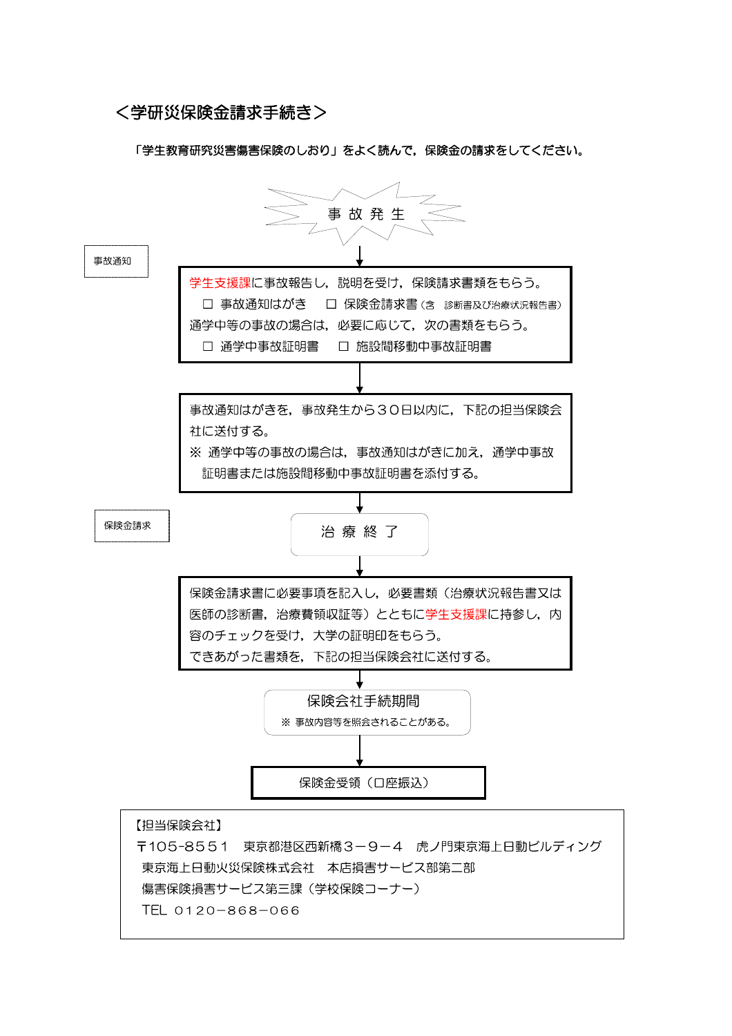## <学研災保険金請求手続き>

「学生教育研究災害傷害保険のしおり」をよく読んで,保険金の請求をしてください。